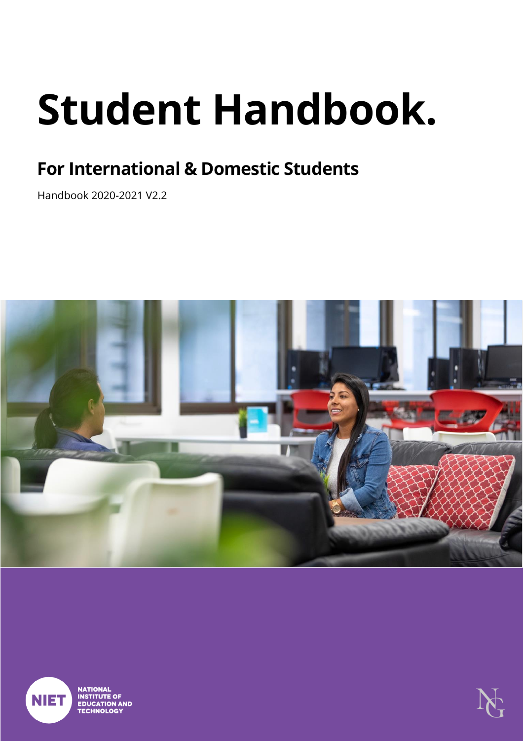# **Student Handbook.**

# <span id="page-0-0"></span>**For International & Domestic Students**

<span id="page-0-2"></span><span id="page-0-1"></span>Handbook 2020-2021 V2.2





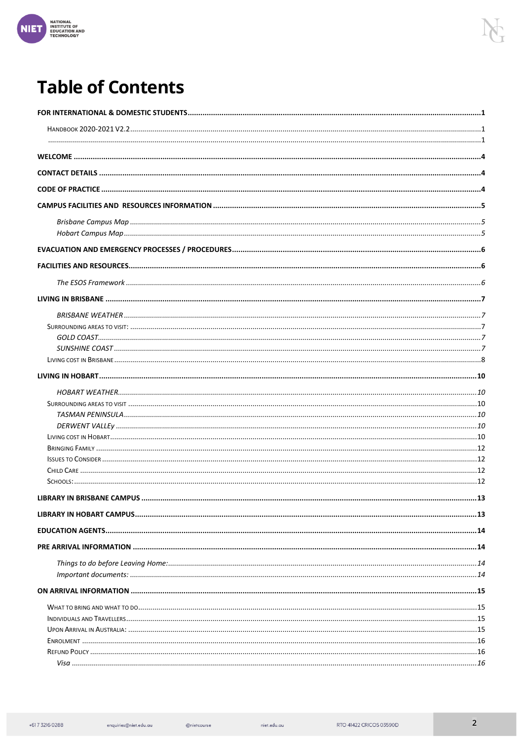

# **Table of Contents**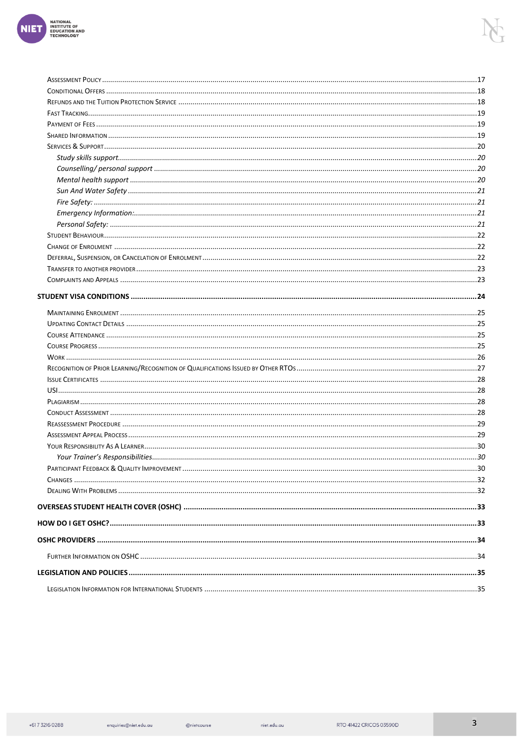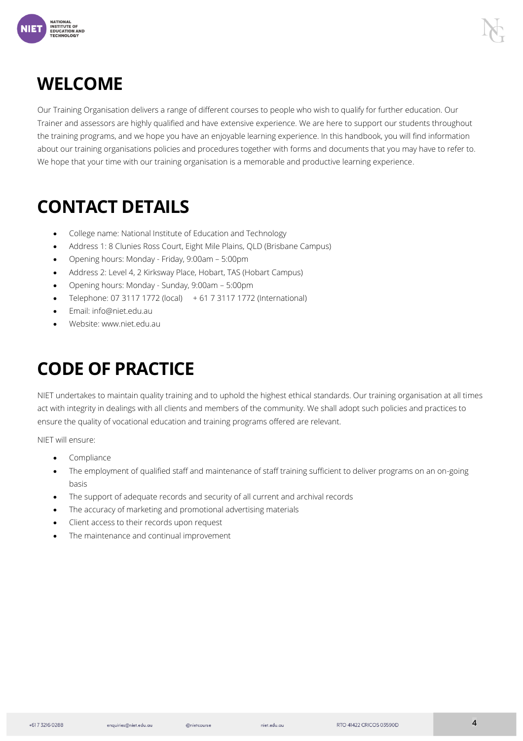

### <span id="page-3-0"></span>**WELCOME**

Our Training Organisation delivers a range of different courses to people who wish to qualify for further education. Our Trainer and assessors are highly qualified and have extensive experience. We are here to support our students throughout the training programs, and we hope you have an enjoyable learning experience. In this handbook, you will find information about our training organisations policies and procedures together with forms and documents that you may have to refer to. We hope that your time with our training organisation is a memorable and productive learning experience.

# <span id="page-3-1"></span>**CONTACT DETAILS**

- College name: National Institute of Education and Technology
- Address 1: 8 Clunies Ross Court, Eight Mile Plains, QLD (Brisbane Campus)
- Opening hours: Monday Friday, 9:00am 5:00pm
- Address 2: Level 4, 2 Kirksway Place, Hobart, TAS (Hobart Campus)
- Opening hours: Monday Sunday, 9:00am 5:00pm
- Telephone: 07 3117 1772 (local) + 61 7 3117 1772 (International)
- Email: info@niet.edu.au
- Website: www.niet.edu.au

# <span id="page-3-2"></span>**CODE OF PRACTICE**

NIET undertakes to maintain quality training and to uphold the highest ethical standards. Our training organisation at all times act with integrity in dealings with all clients and members of the community. We shall adopt such policies and practices to ensure the quality of vocational education and training programs offered are relevant.

NIET will ensure:

- Compliance
- The employment of qualified staff and maintenance of staff training sufficient to deliver programs on an on-going basis
- The support of adequate records and security of all current and archival records
- The accuracy of marketing and promotional advertising materials
- Client access to their records upon request
- The maintenance and continual improvement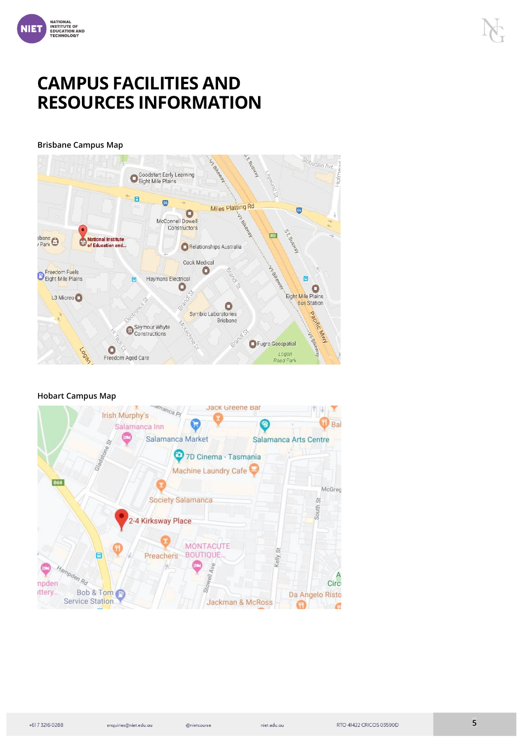

### <span id="page-4-0"></span>**CAMPUS FACILITIES AND RESOURCES INFORMATION**

<span id="page-4-1"></span>Brisbane Campus Map



#### <span id="page-4-2"></span>Hobart Campus Map



@nietcourse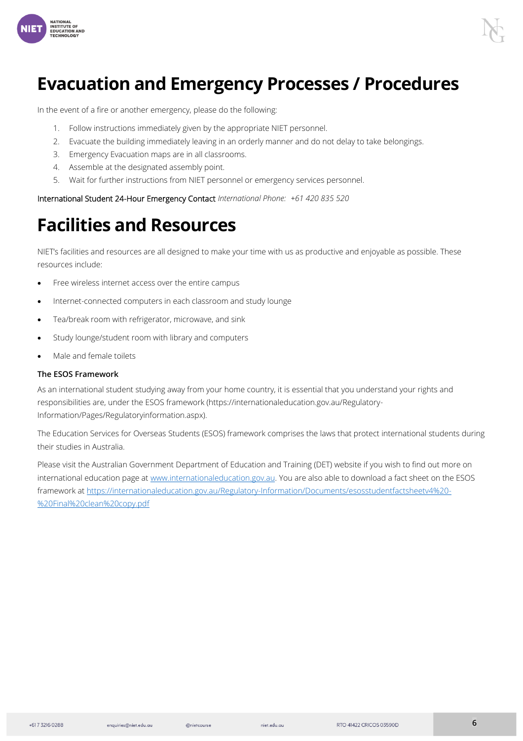

### <span id="page-5-0"></span>**Evacuation and Emergency Processes / Procedures**

In the event of a fire or another emergency, please do the following:

- 1. Follow instructions immediately given by the appropriate NIET personnel.
- 2. Evacuate the building immediately leaving in an orderly manner and do not delay to take belongings.
- 3. Emergency Evacuation maps are in all classrooms.
- 4. Assemble at the designated assembly point.
- 5. Wait for further instructions from NIET personnel or emergency services personnel.

International Student 24-Hour Emergency Contact *International Phone: +61 420 835 520*

### <span id="page-5-1"></span>**Facilities and Resources**

NIET's facilities and resources are all designed to make your time with us as productive and enjoyable as possible. These resources include:

- Free wireless internet access over the entire campus
- Internet-connected computers in each classroom and study lounge
- Tea/break room with refrigerator, microwave, and sink
- Study lounge/student room with library and computers
- Male and female toilets

#### <span id="page-5-2"></span>The ESOS Framework

As an international student studying away from your home country, it is essential that you understand your rights and responsibilities are, under the ESOS framework (https://internationaleducation.gov.au/Regulatory-Information/Pages/Regulatoryinformation.aspx).

The Education Services for Overseas Students (ESOS) framework comprises the laws that protect international students during their studies in Australia.

Please visit the Australian Government Department of Education and Training (DET) website if you wish to find out more on international education page at [www.internationaleducation.gov.au.](about:blank) You are also able to download a fact sheet on the ESOS framework a[t https://internationaleducation.gov.au/Regulatory-Information/Documents/esosstudentfactsheetv4%20-](about:blank) [%20Final%20clean%20copy.pdf](about:blank)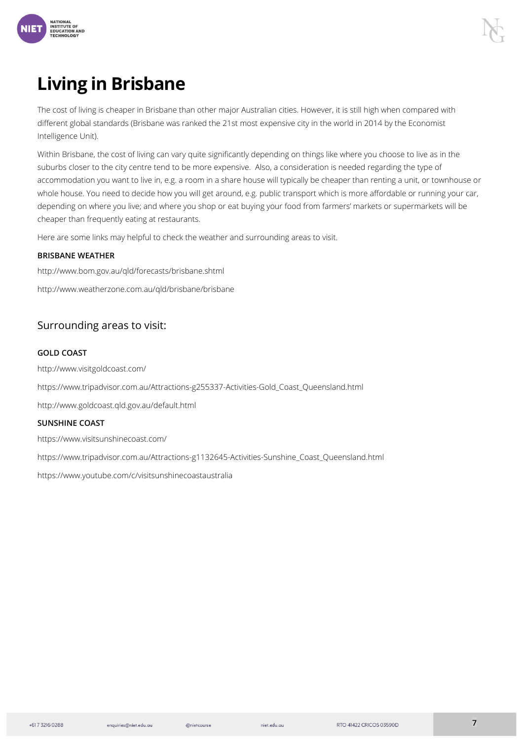

# <span id="page-6-0"></span>**Living in Brisbane**

The cost of living is cheaper in Brisbane than other major Australian cities. However, it is still high when compared with different global standards (Brisbane was ranked the 21st most expensive city in the world in 2014 by the Economist Intelligence Unit).

Within Brisbane, the cost of living can vary quite significantly depending on things like where you choose to live as in the suburbs closer to the city centre tend to be more expensive. Also, a consideration is needed regarding the type of accommodation you want to live in, e.g. a room in a share house will typically be cheaper than renting a unit, or townhouse or whole house. You need to decide how you will get around, e.g. public transport which is more affordable or running your car, depending on where you live; and where you shop or eat buying your food from farmers' markets or supermarkets will be cheaper than frequently eating at restaurants.

Here are some links may helpful to check the weather and surrounding areas to visit.

#### <span id="page-6-1"></span>BRISBANE WEATHER

http://www.bom.gov.au/qld/forecasts/brisbane.shtml

http://www.weatherzone.com.au/qld/brisbane/brisbane

#### <span id="page-6-2"></span>Surrounding areas to visit:

#### <span id="page-6-3"></span>GOLD COAST

http://www.visitgoldcoast.com/

https://www.tripadvisor.com.au/Attractions-g255337-Activities-Gold\_Coast\_Queensland.html

http://www.goldcoast.qld.gov.au/default.html

#### <span id="page-6-4"></span>SUNSHINE COAST

https://www.visitsunshinecoast.com/

https://www.tripadvisor.com.au/Attractions-g1132645-Activities-Sunshine\_Coast\_Queensland.html

https://www.youtube.com/c/visitsunshinecoastaustralia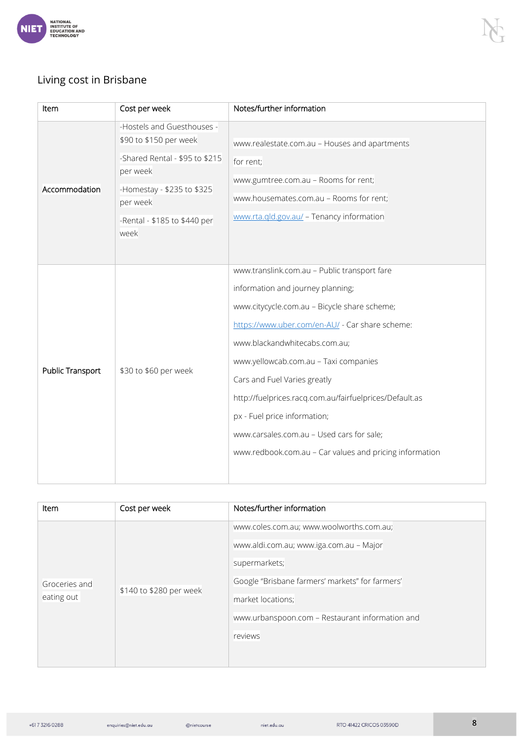

#### <span id="page-7-0"></span>Living cost in Brisbane

| Item             | Cost per week                                                                                                                                                                        | Notes/further information                                                                                                                                                                                                                                                                                                                                                                                                                                                                         |  |
|------------------|--------------------------------------------------------------------------------------------------------------------------------------------------------------------------------------|---------------------------------------------------------------------------------------------------------------------------------------------------------------------------------------------------------------------------------------------------------------------------------------------------------------------------------------------------------------------------------------------------------------------------------------------------------------------------------------------------|--|
| Accommodation    | -Hostels and Guesthouses -<br>\$90 to \$150 per week<br>-Shared Rental - \$95 to \$215<br>per week<br>-Homestay - \$235 to \$325<br>per week<br>-Rental - \$185 to \$440 per<br>week | www.realestate.com.au - Houses and apartments<br>for rent;<br>www.gumtree.com.au - Rooms for rent;<br>www.housemates.com.au - Rooms for rent;<br>www.rta.gld.gov.au/ - Tenancy information                                                                                                                                                                                                                                                                                                        |  |
| Public Transport | \$30 to \$60 per week                                                                                                                                                                | www.translink.com.au - Public transport fare<br>information and journey planning;<br>www.citycycle.com.au - Bicycle share scheme;<br>https://www.uber.com/en-AU/ - Car share scheme:<br>www.blackandwhitecabs.com.au;<br>www.yellowcab.com.au - Taxi companies<br>Cars and Fuel Varies greatly<br>http://fuelprices.racq.com.au/fairfuelprices/Default.as<br>px - Fuel price information;<br>www.carsales.com.au - Used cars for sale;<br>www.redbook.com.au - Car values and pricing information |  |

| Item                        | Cost per week           | Notes/further information                                                                                                                                                                                                                  |
|-----------------------------|-------------------------|--------------------------------------------------------------------------------------------------------------------------------------------------------------------------------------------------------------------------------------------|
| Groceries and<br>eating out | \$140 to \$280 per week | www.coles.com.au; www.woolworths.com.au;<br>www.aldi.com.au; www.iga.com.au - Major<br>supermarkets;<br>Google "Brisbane farmers' markets" for farmers'<br>market locations;<br>www.urbanspoon.com - Restaurant information and<br>reviews |

 $\mathsf{riet}.\mathsf{edu}.\mathsf{au}$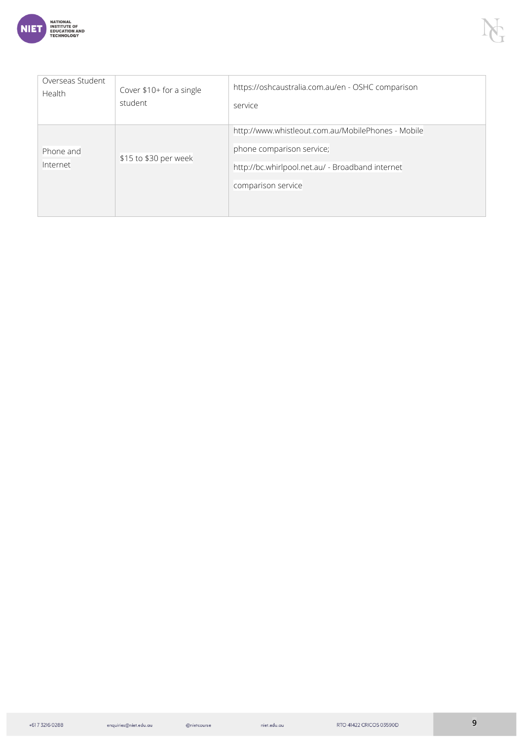

| Overseas Student      | Cover \$10+ for a single | https://oshcaustralia.com.au/en - OSHC comparison                                                                                                         |
|-----------------------|--------------------------|-----------------------------------------------------------------------------------------------------------------------------------------------------------|
| Health                | student                  | service                                                                                                                                                   |
| Phone and<br>Internet | \$15 to \$30 per week    | http://www.whistleout.com.au/MobilePhones - Mobile<br>phone comparison service;<br>http://bc.whirlpool.net.au/ - Broadband internet<br>comparison service |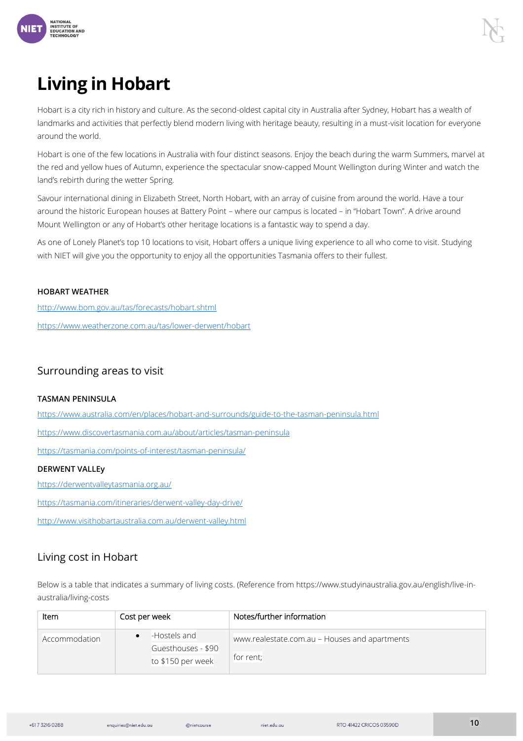

# <span id="page-9-0"></span>**Living in Hobart**

Hobart is a city rich in history and culture. As the second-oldest capital city in Australia after Sydney, Hobart has a wealth of landmarks and activities that perfectly blend modern living with heritage beauty, resulting in a must-visit location for everyone around the world.

Hobart is one of the few locations in Australia with four distinct seasons. Enjoy the beach during the warm Summers, marvel at the red and yellow hues of Autumn, experience the spectacular snow-capped Mount Wellington during Winter and watch the land's rebirth during the wetter Spring.

Savour international dining in Elizabeth Street, North Hobart, with an array of cuisine from around the world. Have a tour around the historic European houses at Battery Point – where our campus is located – in "Hobart Town". A drive around Mount Wellington or any of Hobart's other heritage locations is a fantastic way to spend a day.

As one of Lonely Planet's top 10 locations to visit, Hobart offers a unique living experience to all who come to visit. Studying with NIET will give you the opportunity to enjoy all the opportunities Tasmania offers to their fullest.

#### <span id="page-9-1"></span>HOBART WEATHER

[http://www.bom.gov.au/tas/forecasts/hobart.shtml](about:blank)

[https://www.weatherzone.com.au/tas/lower-derwent/hobart](about:blank)

#### <span id="page-9-2"></span>Surrounding areas to visit

#### <span id="page-9-3"></span>TASMAN PENINSULA

[https://www.australia.com/en/places/hobart-and-surrounds/guide-to-the-tasman-peninsula.html](about:blank)

[https://www.discovertasmania.com.au/about/articles/tasman-peninsula](about:blank)

[https://tasmania.com/points-of-interest/tasman-peninsula/](about:blank)

#### <span id="page-9-4"></span>DERWENT VALLEy

[https://derwentvalleytasmania.org.au/](about:blank)

[https://tasmania.com/itineraries/derwent-valley-day-drive/](about:blank)

[http://www.visithobartaustralia.com.au/derwent-valley.html](about:blank)

#### <span id="page-9-5"></span>Living cost in Hobart

Below is a table that indicates a summary of living costs. (Reference from https://www.studyinaustralia.gov.au/english/live-inaustralia/living-costs

| Item          | Cost per week      | Notes/further information                     |
|---------------|--------------------|-----------------------------------------------|
| Accommodation | -Hostels and       | www.realestate.com.au - Houses and apartments |
|               | Guesthouses - \$90 |                                               |
|               | to \$150 per week  | for rent;                                     |

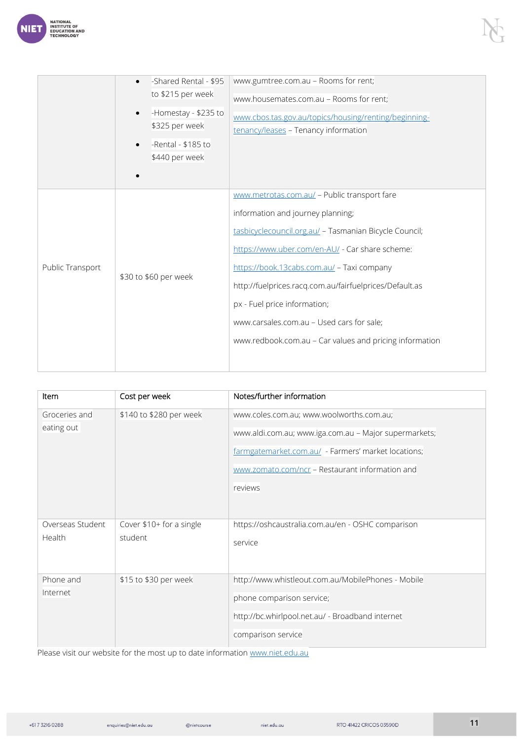

|                  | -Shared Rental - \$95                                       | www.gumtree.com.au - Rooms for rent;                    |  |
|------------------|-------------------------------------------------------------|---------------------------------------------------------|--|
|                  | to \$215 per week<br>-Homestay - \$235 to<br>\$325 per week | www.housemates.com.au - Rooms for rent;                 |  |
|                  |                                                             | www.cbos.tas.gov.au/topics/housing/renting/beginning-   |  |
|                  |                                                             | tenancy/leases - Tenancy information                    |  |
|                  | -Rental - \$185 to                                          |                                                         |  |
|                  | \$440 per week                                              |                                                         |  |
|                  |                                                             |                                                         |  |
|                  |                                                             | www.metrotas.com.au/ - Public transport fare            |  |
|                  |                                                             | information and journey planning;                       |  |
|                  | \$30 to \$60 per week                                       | tasbicyclecouncil.org.au/ - Tasmanian Bicycle Council;  |  |
|                  |                                                             | https://www.uber.com/en-AU/ - Car share scheme:         |  |
| Public Transport |                                                             | https://book.13cabs.com.au/ - Taxi company              |  |
|                  |                                                             | http://fuelprices.racq.com.au/fairfuelprices/Default.as |  |
|                  |                                                             | px - Fuel price information;                            |  |
|                  |                                                             | www.carsales.com.au - Used cars for sale;               |  |
|                  |                                                             | www.redbook.com.au - Car values and pricing information |  |
|                  |                                                             |                                                         |  |
|                  |                                                             |                                                         |  |

| Item             | Cost per week            | Notes/further information                             |
|------------------|--------------------------|-------------------------------------------------------|
| Groceries and    | \$140 to \$280 per week  | www.coles.com.au; www.woolworths.com.au;              |
| eating out       |                          | www.aldi.com.au; www.iga.com.au - Major supermarkets; |
|                  |                          | farmgatemarket.com.au/ - Farmers' market locations;   |
|                  |                          | www.zomato.com/ncr - Restaurant information and       |
|                  |                          | reviews                                               |
|                  |                          |                                                       |
| Overseas Student | Cover \$10+ for a single | https://oshcaustralia.com.au/en - OSHC comparison     |
| Health           | student                  | service                                               |
|                  |                          |                                                       |
| Phone and        | \$15 to \$30 per week    | http://www.whistleout.com.au/MobilePhones - Mobile    |
| Internet         |                          | phone comparison service;                             |
|                  |                          | http://bc.whirlpool.net.au/ - Broadband internet      |
|                  |                          | comparison service                                    |

Please visit our website for the most up to date information [www.niet.edu.au](about:blank)

+617 3216 0288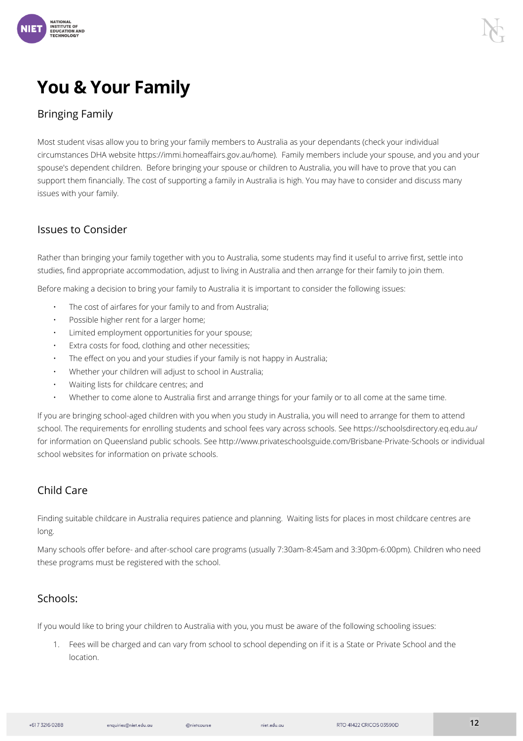

# **You & Your Family**

#### <span id="page-11-0"></span>Bringing Family

Most student visas allow you to bring your family members to Australia as your dependants (check your individual circumstances DHA website https://immi.homeaffairs.gov.au/home). Family members include your spouse, and you and your spouse's dependent children. Before bringing your spouse or children to Australia, you will have to prove that you can support them financially. The cost of supporting a family in Australia is high. You may have to consider and discuss many issues with your family.

#### <span id="page-11-1"></span>Issues to Consider

Rather than bringing your family together with you to Australia, some students may find it useful to arrive first, settle into studies, find appropriate accommodation, adjust to living in Australia and then arrange for their family to join them.

Before making a decision to bring your family to Australia it is important to consider the following issues:

- The cost of airfares for your family to and from Australia;
- Possible higher rent for a larger home;
- Limited employment opportunities for your spouse;
- Extra costs for food, clothing and other necessities;
- The effect on you and your studies if your family is not happy in Australia;
- Whether your children will adjust to school in Australia;
- Waiting lists for childcare centres; and
- Whether to come alone to Australia first and arrange things for your family or to all come at the same time.

If you are bringing school-aged children with you when you study in Australia, you will need to arrange for them to attend school. The requirements for enrolling students and school fees vary across schools. See https://schoolsdirectory.eq.edu.au/ for information on Queensland public schools. See http://www.privateschoolsguide.com/Brisbane-Private-Schools or individual school websites for information on private schools.

#### <span id="page-11-2"></span>Child Care

Finding suitable childcare in Australia requires patience and planning. Waiting lists for places in most childcare centres are long.

Many schools offer before- and after-school care programs (usually 7:30am-8:45am and 3:30pm-6:00pm). Children who need these programs must be registered with the school.

#### <span id="page-11-3"></span>Schools:

If you would like to bring your children to Australia with you, you must be aware of the following schooling issues:

1. Fees will be charged and can vary from school to school depending on if it is a State or Private School and the location.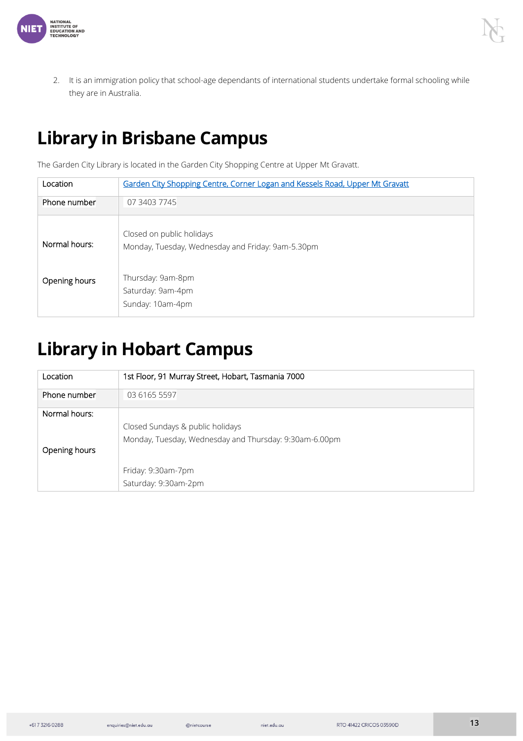

2. It is an immigration policy that school-age dependants of international students undertake formal schooling while they are in Australia.

# <span id="page-12-0"></span>**Library in Brisbane Campus**

The Garden City Library is located in the Garden City Shopping Centre at Upper Mt Gravatt.

| Location      | Garden City Shopping Centre, Corner Logan and Kessels Road, Upper Mt Gravatt   |
|---------------|--------------------------------------------------------------------------------|
| Phone number  | 07 3403 7745                                                                   |
| Normal hours: | Closed on public holidays<br>Monday, Tuesday, Wednesday and Friday: 9am-5.30pm |
| Opening hours | Thursday: 9am-8pm<br>Saturday: 9am-4pm<br>Sunday: 10am-4pm                     |

# <span id="page-12-1"></span>**Library in Hobart Campus**

| Location                       | 1st Floor, 91 Murray Street, Hobart, Tasmania 7000                                         |
|--------------------------------|--------------------------------------------------------------------------------------------|
| Phone number                   | 03 6165 5597                                                                               |
| Normal hours:<br>Opening hours | Closed Sundays & public holidays<br>Monday, Tuesday, Wednesday and Thursday: 9:30am-6.00pm |
|                                | Friday: 9:30am-7pm<br>Saturday: 9:30am-2pm                                                 |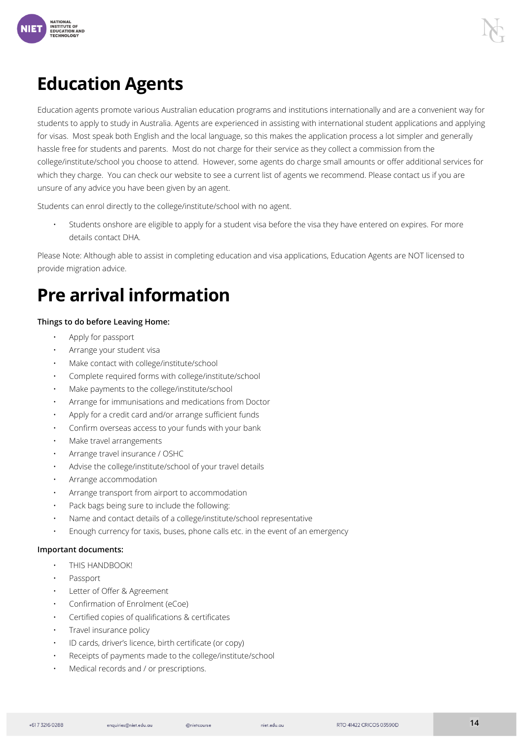

# <span id="page-13-0"></span>**Education Agents**

Education agents promote various Australian education programs and institutions internationally and are a convenient way for students to apply to study in Australia. Agents are experienced in assisting with international student applications and applying for visas. Most speak both English and the local language, so this makes the application process a lot simpler and generally hassle free for students and parents. Most do not charge for their service as they collect a commission from the college/institute/school you choose to attend. However, some agents do charge small amounts or offer additional services for which they charge. You can check our website to see a current list of agents we recommend. Please contact us if you are unsure of any advice you have been given by an agent.

Students can enrol directly to the college/institute/school with no agent.

• Students onshore are eligible to apply for a student visa before the visa they have entered on expires. For more details contact DHA.

Please Note: Although able to assist in completing education and visa applications, Education Agents are NOT licensed to provide migration advice.

# <span id="page-13-1"></span>**Pre arrival information**

#### <span id="page-13-2"></span>Things to do before Leaving Home:

- Apply for passport
- Arrange your student visa
- Make contact with college/institute/school
- Complete required forms with college/institute/school
- Make payments to the college/institute/school
- Arrange for immunisations and medications from Doctor
- Apply for a credit card and/or arrange sufficient funds
- Confirm overseas access to your funds with your bank
- Make travel arrangements
- Arrange travel insurance / OSHC
- Advise the college/institute/school of your travel details
- Arrange accommodation
- Arrange transport from airport to accommodation
- Pack bags being sure to include the following:
- Name and contact details of a college/institute/school representative
- Enough currency for taxis, buses, phone calls etc. in the event of an emergency

#### <span id="page-13-3"></span>Important documents:

- THIS HANDBOOK!
- Passport
- Letter of Offer & Agreement
- Confirmation of Enrolment (eCoe)
- Certified copies of qualifications & certificates
- Travel insurance policy
- ID cards, driver's licence, birth certificate (or copy)
- Receipts of payments made to the college/institute/school
- Medical records and / or prescriptions.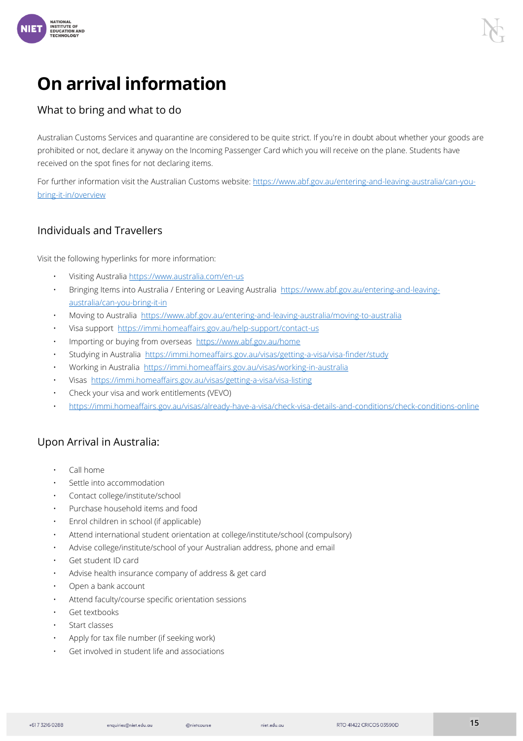

### <span id="page-14-0"></span>**On arrival information**

#### <span id="page-14-1"></span>What to bring and what to do

Australian Customs Services and quarantine are considered to be quite strict. If you're in doubt about whether your goods are prohibited or not, declare it anyway on the Incoming Passenger Card which you will receive on the plane. Students have received on the spot fines for not declaring items.

For further information visit the Australian Customs website[: https://www.abf.gov.au/entering-and-leaving-australia/can-you](about:blank)[bring-it-in/overview](about:blank)

#### <span id="page-14-2"></span>Individuals and Travellers

Visit the following hyperlinks for more information:

- Visiting Australia [https://www.australia.com/en-us](about:blank)
- Bringing Items into Australia / Entering or Leaving Australia [https://www.abf.gov.au/entering-and-leaving](about:blank)[australia/can-you-bring-it-in](about:blank)
- Moving to Australia [https://www.abf.gov.au/entering-and-leaving-australia/moving-to-australia](about:blank)
- Visa support [https://immi.homeaffairs.gov.au/help-support/contact-us](about:blank)
- Importing or buying from overseas [https://www.abf.gov.au/home](about:blank)
- Studying in Australia [https://immi.homeaffairs.gov.au/visas/getting-a-visa/visa-finder/study](about:blank)
- Working in Australia [https://immi.homeaffairs.gov.au/visas/working-in-australia](about:blank)
- Visas [https://immi.homeaffairs.gov.au/visas/getting-a-visa/visa-listing](about:blank)
- Check your visa and work entitlements (VEVO)
- [https://immi.homeaffairs.gov.au/visas/already-have-a-visa/check-visa-details-and-conditions/check-conditions-online](about:blank)

#### <span id="page-14-3"></span>Upon Arrival in Australia:

- Call home
- Settle into accommodation
- Contact college/institute/school
- Purchase household items and food
- Enrol children in school (if applicable)
- Attend international student orientation at college/institute/school (compulsory)
- Advise college/institute/school of your Australian address, phone and email
- Get student ID card
- Advise health insurance company of address & get card
- Open a bank account
- Attend faculty/course specific orientation sessions
- Get textbooks
- Start classes
- Apply for tax file number (if seeking work)
- Get involved in student life and associations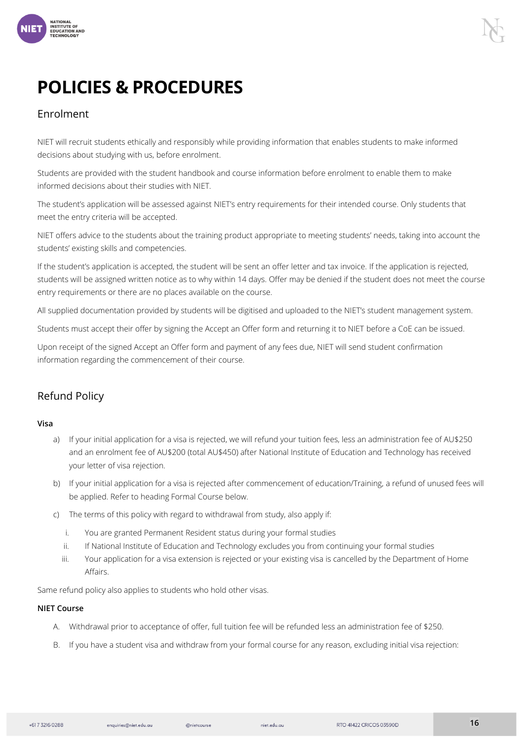

# **POLICIES & PROCEDURES**

#### <span id="page-15-0"></span>Enrolment

NIET will recruit students ethically and responsibly while providing information that enables students to make informed decisions about studying with us, before enrolment.

Students are provided with the student handbook and course information before enrolment to enable them to make informed decisions about their studies with NIET.

The student's application will be assessed against NIET's entry requirements for their intended course. Only students that meet the entry criteria will be accepted.

NIET offers advice to the students about the training product appropriate to meeting students' needs, taking into account the students' existing skills and competencies.

If the student's application is accepted, the student will be sent an offer letter and tax invoice. If the application is rejected, students will be assigned written notice as to why within 14 days. Offer may be denied if the student does not meet the course entry requirements or there are no places available on the course.

All supplied documentation provided by students will be digitised and uploaded to the NIET's student management system.

Students must accept their offer by signing the Accept an Offer form and returning it to NIET before a CoE can be issued.

Upon receipt of the signed Accept an Offer form and payment of any fees due, NIET will send student confirmation information regarding the commencement of their course.

#### <span id="page-15-1"></span>Refund Policy

#### <span id="page-15-2"></span>Visa

- a) If your initial application for a visa is rejected, we will refund your tuition fees, less an administration fee of AU\$250 and an enrolment fee of AU\$200 (total AU\$450) after National Institute of Education and Technology has received your letter of visa rejection.
- b) If your initial application for a visa is rejected after commencement of education/Training, a refund of unused fees will be applied. Refer to heading Formal Course below.
- c) The terms of this policy with regard to withdrawal from study, also apply if:
	- i. You are granted Permanent Resident status during your formal studies
	- ii. If National Institute of Education and Technology excludes you from continuing your formal studies
	- iii. Your application for a visa extension is rejected or your existing visa is cancelled by the Department of Home Affairs.

Same refund policy also applies to students who hold other visas.

#### NIET Course

- A. Withdrawal prior to acceptance of offer, full tuition fee will be refunded less an administration fee of \$250.
- B. If you have a student visa and withdraw from your formal course for any reason, excluding initial visa rejection: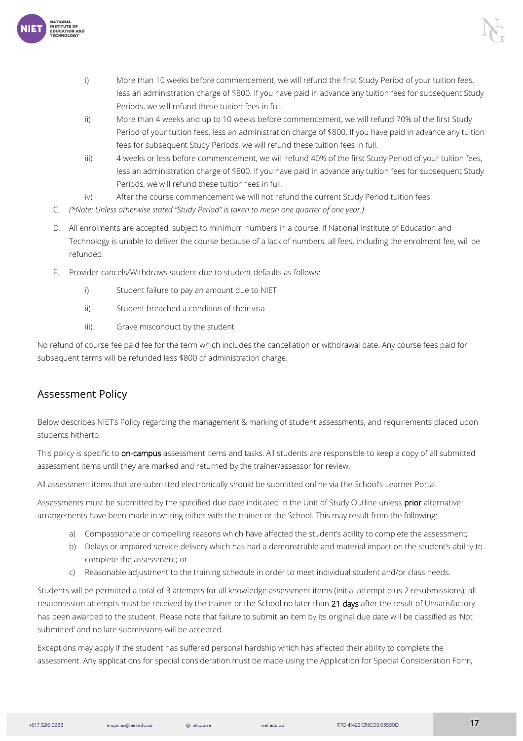

- i) More than 10 weeks before commencement, we will refund the first Study Period of your tuition fees, less an administration charge of \$800. If you have paid in advance any tuition fees for subsequent Study Periods, we will refund these tuition fees in full.
- ii) More than 4 weeks and up to 10 weeks before commencement, we will refund 70% of the first Study Period of your tuition fees, less an administration charge of \$800. If you have paid in advance any tuition fees for subsequent Study Periods, we will refund these tuition fees in full.
- iii) 4 weeks or less before commencement, we will refund 40% of the first Study Period of your tuition fees, less an administration charge of \$800. If you have paid in advance any tuition fees for subsequent Study Periods, we will refund these tuition fees in full.
- iv) After the course commencement we will not refund the current Study Period tuition fees.
- C. *(\*Note: Unless otherwise stated "Study Period" is taken to mean one quarter of one year.)*
- D. All enrolments are accepted, subject to minimum numbers in a course. If National Institute of Education and Technology is unable to deliver the course because of a lack of numbers, all fees, including the enrolment fee, will be refunded.
- E. Provider cancels/Withdraws student due to student defaults as follows:
	- i) Student failure to pay an amount due to NIET
	- ii) Student breached a condition of their visa
	- iii) Grave misconduct by the student

No refund of course fee paid fee for the term which includes the cancellation or withdrawal date. Any course fees paid for subsequent terms will be refunded less \$800 of administration charge.

#### <span id="page-16-0"></span>Assessment Policy

Below describes NIET's Policy regarding the management & marking of student assessments, and requirements placed upon students hitherto.

This policy is specific to on-campus assessment items and tasks. All students are responsible to keep a copy of all submitted assessment items until they are marked and returned by the trainer/assessor for review.

All assessment items that are submitted electronically should be submitted online via the School's Learner Portal.

Assessments must be submitted by the specified due date indicated in the Unit of Study Outline unless prior alternative arrangements have been made in writing either with the trainer or the School. This may result from the following:

- a) Compassionate or compelling reasons which have affected the student's ability to complete the assessment;
- b) Delays or impaired service delivery which has had a demonstrable and material impact on the student's ability to complete the assessment; or
- c) Reasonable adjustment to the training schedule in order to meet individual student and/or class needs.

Students will be permitted a total of 3 attempts for all knowledge assessment items (initial attempt plus 2 resubmissions); all resubmission attempts must be received by the trainer or the School no later than 21 days after the result of Unsatisfactory has been awarded to the student. Please note that failure to submit an item by its original due date will be classified as 'Not submitted' and no late submissions will be accepted.

Exceptions may apply if the student has suffered personal hardship which has affected their ability to complete the assessment. Any applications for special consideration must be made using the Application for Special Consideration Form,

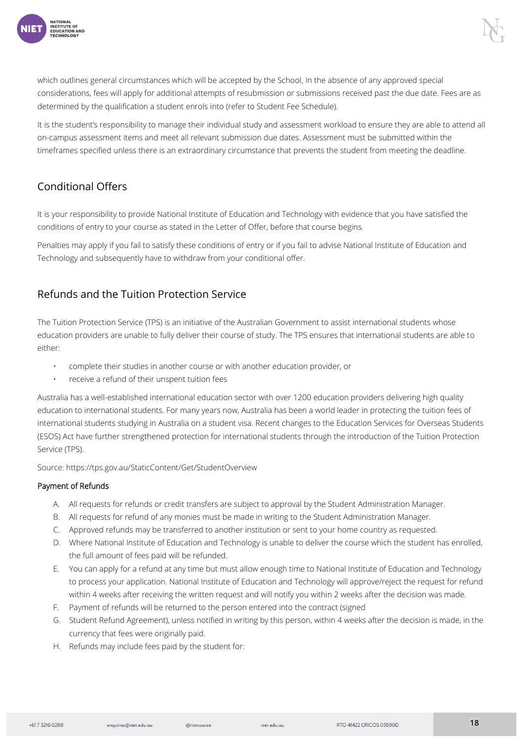

which outlines general circumstances which will be accepted by the School. In the absence of any approved special considerations, fees will apply for additional attempts of resubmission or submissions received past the due date. Fees are as determined by the qualification a student enrols into (refer to Student Fee Schedule).

It is the student's responsibility to manage their individual study and assessment workload to ensure they are able to attend all on-campus assessment items and meet all relevant submission due dates. Assessment must be submitted within the timeframes specified unless there is an extraordinary circumstance that prevents the student from meeting the deadline.

#### <span id="page-17-0"></span>Conditional Offers

It is your responsibility to provide National Institute of Education and Technology with evidence that you have satisfied the conditions of entry to your course as stated in the Letter of Offer, before that course begins.

Penalties may apply if you fail to satisfy these conditions of entry or if you fail to advise National Institute of Education and Technology and subsequently have to withdraw from your conditional offer.

#### <span id="page-17-1"></span>Refunds and the Tuition Protection Service

The Tuition Protection Service (TPS) is an initiative of the Australian Government to assist international students whose education providers are unable to fully deliver their course of study. The TPS ensures that international students are able to either:

- complete their studies in another course or with another education provider, or
- receive a refund of their unspent tuition fees

Australia has a well-established international education sector with over 1200 education providers delivering high quality education to international students. For many years now, Australia has been a world leader in protecting the tuition fees of international students studying in Australia on a student visa. Recent changes to the Education Services for Overseas Students (ESOS) Act have further strengthened protection for international students through the introduction of the Tuition Protection Service (TPS).

Source: https://tps.gov.au/StaticContent/Get/StudentOverview

#### Payment of Refunds

- A. All requests for refunds or credit transfers are subject to approval by the Student Administration Manager.
- B. All requests for refund of any monies must be made in writing to the Student Administration Manager.
- C. Approved refunds may be transferred to another institution or sent to your home country as requested.
- D. Where National Institute of Education and Technology is unable to deliver the course which the student has enrolled, the full amount of fees paid will be refunded.
- E. You can apply for a refund at any time but must allow enough time to National Institute of Education and Technology to process your application. National Institute of Education and Technology will approve/reject the request for refund within 4 weeks after receiving the written request and will notify you within 2 weeks after the decision was made.
- F. Payment of refunds will be returned to the person entered into the contract (signed
- G. Student Refund Agreement), unless notified in writing by this person, within 4 weeks after the decision is made, in the currency that fees were originally paid.
- H. Refunds may include fees paid by the student for:

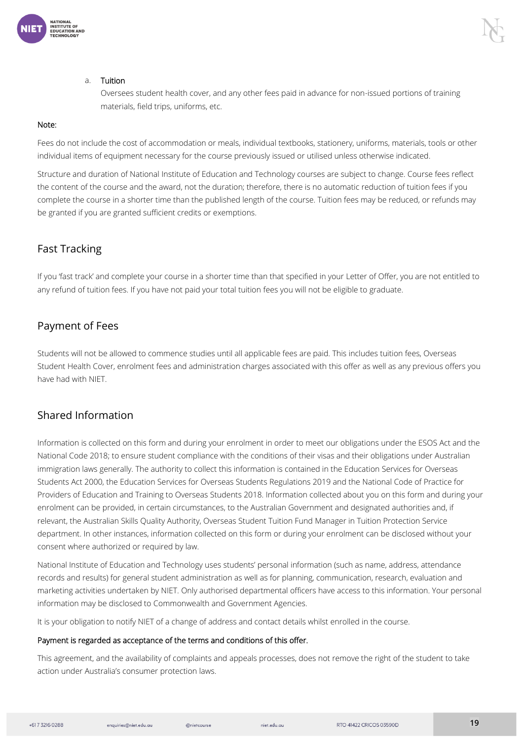

#### a. Tuition

Oversees student health cover, and any other fees paid in advance for non-issued portions of training materials, field trips, uniforms, etc.

#### Note:

Fees do not include the cost of accommodation or meals, individual textbooks, stationery, uniforms, materials, tools or other individual items of equipment necessary for the course previously issued or utilised unless otherwise indicated.

Structure and duration of National Institute of Education and Technology courses are subject to change. Course fees reflect the content of the course and the award, not the duration; therefore, there is no automatic reduction of tuition fees if you complete the course in a shorter time than the published length of the course. Tuition fees may be reduced, or refunds may be granted if you are granted sufficient credits or exemptions.

#### <span id="page-18-0"></span>Fast Tracking

If you 'fast track' and complete your course in a shorter time than that specified in your Letter of Offer, you are not entitled to any refund of tuition fees. If you have not paid your total tuition fees you will not be eligible to graduate.

#### <span id="page-18-1"></span>Payment of Fees

Students will not be allowed to commence studies until all applicable fees are paid. This includes tuition fees, Overseas Student Health Cover, enrolment fees and administration charges associated with this offer as well as any previous offers you have had with NIET.

#### <span id="page-18-2"></span>Shared Information

Information is collected on this form and during your enrolment in order to meet our obligations under the ESOS Act and the National Code 2018; to ensure student compliance with the conditions of their visas and their obligations under Australian immigration laws generally. The authority to collect this information is contained in the Education Services for Overseas Students Act 2000, the Education Services for Overseas Students Regulations 2019 and the National Code of Practice for Providers of Education and Training to Overseas Students 2018. Information collected about you on this form and during your enrolment can be provided, in certain circumstances, to the Australian Government and designated authorities and, if relevant, the Australian Skills Quality Authority, Overseas Student Tuition Fund Manager in Tuition Protection Service department. In other instances, information collected on this form or during your enrolment can be disclosed without your consent where authorized or required by law.

National Institute of Education and Technology uses students' personal information (such as name, address, attendance records and results) for general student administration as well as for planning, communication, research, evaluation and marketing activities undertaken by NIET. Only authorised departmental officers have access to this information. Your personal information may be disclosed to Commonwealth and Government Agencies.

It is your obligation to notify NIET of a change of address and contact details whilst enrolled in the course.

#### Payment is regarded as acceptance of the terms and conditions of this offer.

This agreement, and the availability of complaints and appeals processes, does not remove the right of the student to take action under Australia's consumer protection laws.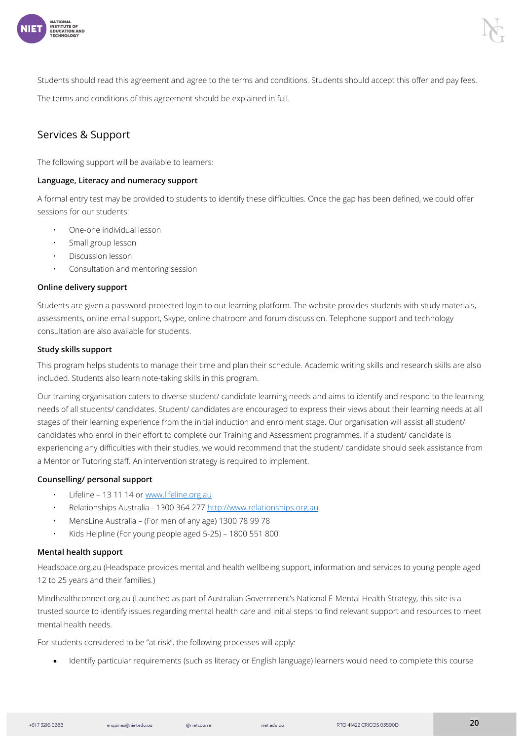

Students should read this agreement and agree to the terms and conditions. Students should accept this offer and pay fees.

The terms and conditions of this agreement should be explained in full.

#### <span id="page-19-0"></span>Services & Support

The following support will be available to learners:

#### Language, Literacy and numeracy support

A formal entry test may be provided to students to identify these difficulties. Once the gap has been defined, we could offer sessions for our students:

- One-one individual lesson
- Small group lesson
- Discussion lesson
- Consultation and mentoring session

#### Online delivery support

Students are given a password-protected login to our learning platform. The website provides students with study materials, assessments, online email support, Skype, online chatroom and forum discussion. Telephone support and technology consultation are also available for students.

#### <span id="page-19-1"></span>Study skills support

This program helps students to manage their time and plan their schedule. Academic writing skills and research skills are also included. Students also learn note-taking skills in this program.

Our training organisation caters to diverse student/ candidate learning needs and aims to identify and respond to the learning needs of all students/ candidates. Student/ candidates are encouraged to express their views about their learning needs at all stages of their learning experience from the initial induction and enrolment stage. Our organisation will assist all student/ candidates who enrol in their effort to complete our Training and Assessment programmes. If a student/ candidate is experiencing any difficulties with their studies, we would recommend that the student/ candidate should seek assistance from a Mentor or Tutoring staff. An intervention strategy is required to implement.

#### <span id="page-19-2"></span>Counselling/ personal support

- Lifeline 13 11 14 o[r www.lifeline.org.au](about:blank)
- Relationships Australia 1300 364 27[7 http://www.relationships.org.au](about:blank)
- MensLine Australia (For men of any age) 1300 78 99 78
- Kids Helpline (For young people aged 5-25) 1800 551 800

#### <span id="page-19-3"></span>Mental health support

Headspace.org.au (Headspace provides mental and health wellbeing support, information and services to young people aged 12 to 25 years and their families.)

Mindhealthconnect.org.au (Launched as part of Australian Government's National E-Mental Health Strategy, this site is a trusted source to identify issues regarding mental health care and initial steps to find relevant support and resources to meet mental health needs.

For students considered to be "at risk", the following processes will apply:

• Identify particular requirements (such as literacy or English language) learners would need to complete this course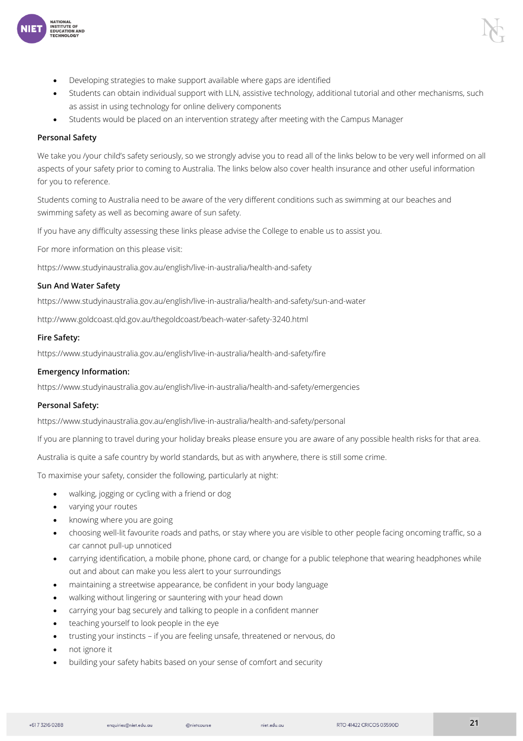

- Students can obtain individual support with LLN, assistive technology, additional tutorial and other mechanisms, such as assist in using technology for online delivery components
- Students would be placed on an intervention strategy after meeting with the Campus Manager

#### Personal Safety

NATIONAL<br>NSTITUTE OF<br>EDUCATION AND

We take you /your child's safety seriously, so we strongly advise you to read all of the links below to be very well informed on all aspects of your safety prior to coming to Australia. The links below also cover health insurance and other useful information for you to reference.

Students coming to Australia need to be aware of the very different conditions such as swimming at our beaches and swimming safety as well as becoming aware of sun safety.

If you have any difficulty assessing these links please advise the College to enable us to assist you.

For more information on this please visit:

https://www.studyinaustralia.gov.au/english/live-in-australia/health-and-safety

#### <span id="page-20-0"></span>Sun And Water Safety

https://www.studyinaustralia.gov.au/english/live-in-australia/health-and-safety/sun-and-water

http://www.goldcoast.qld.gov.au/thegoldcoast/beach-water-safety-3240.html

#### <span id="page-20-1"></span>Fire Safety:

https://www.studyinaustralia.gov.au/english/live-in-australia/health-and-safety/fire

#### <span id="page-20-2"></span>Emergency Information:

https://www.studyinaustralia.gov.au/english/live-in-australia/health-and-safety/emergencies

#### <span id="page-20-3"></span>Personal Safety:

https://www.studyinaustralia.gov.au/english/live-in-australia/health-and-safety/personal

If you are planning to travel during your holiday breaks please ensure you are aware of any possible health risks for that area.

Australia is quite a safe country by world standards, but as with anywhere, there is still some crime.

To maximise your safety, consider the following, particularly at night:

- walking, jogging or cycling with a friend or dog
- varying your routes
- knowing where you are going
- choosing well-lit favourite roads and paths, or stay where you are visible to other people facing oncoming traffic, so a car cannot pull-up unnoticed
- carrying identification, a mobile phone, phone card, or change for a public telephone that wearing headphones while out and about can make you less alert to your surroundings
- maintaining a streetwise appearance, be confident in your body language
- walking without lingering or sauntering with your head down
- carrying your bag securely and talking to people in a confident manner
- teaching yourself to look people in the eye
- trusting your instincts if you are feeling unsafe, threatened or nervous, do
- not ignore it
- building your safety habits based on your sense of comfort and security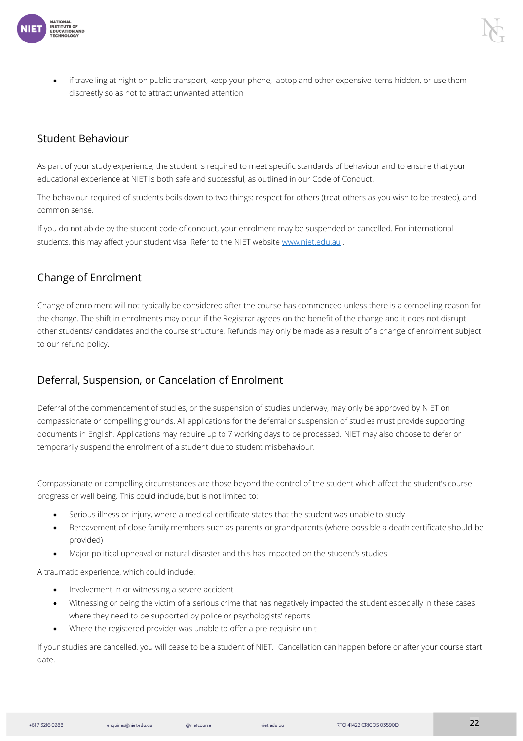

• if travelling at night on public transport, keep your phone, laptop and other expensive items hidden, or use them discreetly so as not to attract unwanted attention

#### <span id="page-21-0"></span>Student Behaviour

As part of your study experience, the student is required to meet specific standards of behaviour and to ensure that your educational experience at NIET is both safe and successful, as outlined in our Code of Conduct.

The behaviour required of students boils down to two things: respect for others (treat others as you wish to be treated), and common sense.

If you do not abide by the student code of conduct, your enrolment may be suspended or cancelled. For international students, this may affect your student visa. Refer to the NIET websit[e www.niet.edu.au](about:blank).

#### <span id="page-21-1"></span>Change of Enrolment

Change of enrolment will not typically be considered after the course has commenced unless there is a compelling reason for the change. The shift in enrolments may occur if the Registrar agrees on the benefit of the change and it does not disrupt other students/ candidates and the course structure. Refunds may only be made as a result of a change of enrolment subject to our refund policy.

#### <span id="page-21-2"></span>Deferral, Suspension, or Cancelation of Enrolment

Deferral of the commencement of studies, or the suspension of studies underway, may only be approved by NIET on compassionate or compelling grounds. All applications for the deferral or suspension of studies must provide supporting documents in English. Applications may require up to 7 working days to be processed. NIET may also choose to defer or temporarily suspend the enrolment of a student due to student misbehaviour.

Compassionate or compelling circumstances are those beyond the control of the student which affect the student's course progress or well being. This could include, but is not limited to:

- Serious illness or injury, where a medical certificate states that the student was unable to study
- Bereavement of close family members such as parents or grandparents (where possible a death certificate should be provided)
- Major political upheaval or natural disaster and this has impacted on the student's studies

A traumatic experience, which could include:

- Involvement in or witnessing a severe accident
- Witnessing or being the victim of a serious crime that has negatively impacted the student especially in these cases where they need to be supported by police or psychologists' reports
- Where the registered provider was unable to offer a pre-requisite unit

If your studies are cancelled, you will cease to be a student of NIET. Cancellation can happen before or after your course start date.

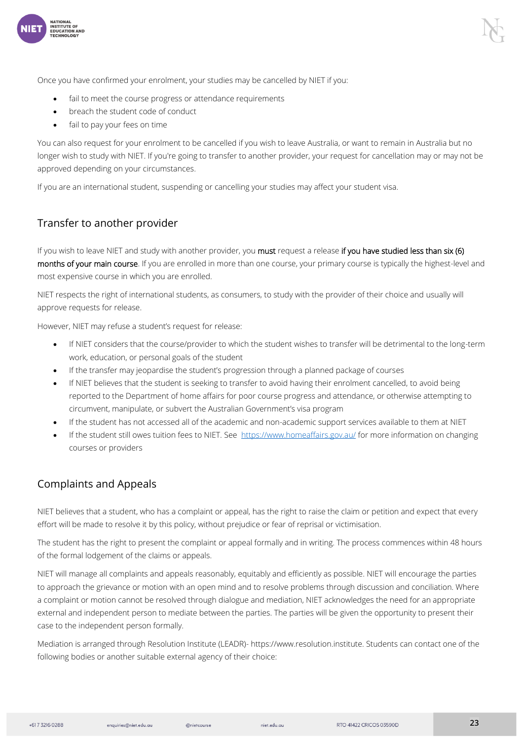

Once you have confirmed your enrolment, your studies may be cancelled by NIET if you:

- fail to meet the course progress or attendance requirements
- breach the student code of conduct
- fail to pay your fees on time

You can also request for your enrolment to be cancelled if you wish to leave Australia, or want to remain in Australia but no longer wish to study with NIET. If you're going to transfer to another provider, your request for cancellation may or may not be approved depending on your circumstances.

If you are an international student, suspending or cancelling your studies may affect your student visa.

#### <span id="page-22-0"></span>Transfer to another provider

If you wish to leave NIET and study with another provider, you must request a release if you have studied less than six (6) months of your main course. If you are enrolled in more than one course, your primary course is typically the highest-level and most expensive course in which you are enrolled.

NIET respects the right of international students, as consumers, to study with the provider of their choice and usually will approve requests for release.

However, NIET may refuse a student's request for release:

- If NIET considers that the course/provider to which the student wishes to transfer will be detrimental to the long-term work, education, or personal goals of the student
- If the transfer may jeopardise the student's progression through a planned package of courses
- If NIET believes that the student is seeking to transfer to avoid having their enrolment cancelled, to avoid being reported to the Department of home affairs for poor course progress and attendance, or otherwise attempting to circumvent, manipulate, or subvert the Australian Government's visa program
- If the student has not accessed all of the academic and non-academic support services available to them at NIET
- If the student still owes tuition fees to NIET. See [https://www.homeaffairs.gov.au/](about:blank) for more information on changing courses or providers

#### <span id="page-22-1"></span>Complaints and Appeals

NIET believes that a student, who has a complaint or appeal, has the right to raise the claim or petition and expect that every effort will be made to resolve it by this policy, without prejudice or fear of reprisal or victimisation.

The student has the right to present the complaint or appeal formally and in writing. The process commences within 48 hours of the formal lodgement of the claims or appeals.

NIET will manage all complaints and appeals reasonably, equitably and efficiently as possible. NIET will encourage the parties to approach the grievance or motion with an open mind and to resolve problems through discussion and conciliation. Where a complaint or motion cannot be resolved through dialogue and mediation, NIET acknowledges the need for an appropriate external and independent person to mediate between the parties. The parties will be given the opportunity to present their case to the independent person formally.

Mediation is arranged through Resolution Institute (LEADR)- https://www.resolution.institute. Students can contact one of the following bodies or another suitable external agency of their choice: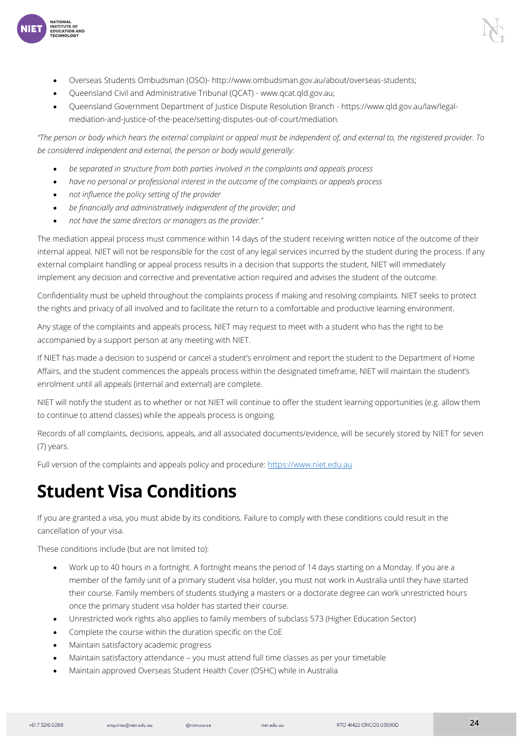

- Queensland Civil and Administrative Tribunal (QCAT) www.qcat.qld.gov.au;
- Queensland Government Department of Justice Dispute Resolution Branch https://www.qld.gov.au/law/legalmediation-and-justice-of-the-peace/setting-disputes-out-of-court/mediation.

*"The person or body which hears the external complaint or appeal must be independent of, and external to, the registered provider. To be considered independent and external, the person or body would generally:*

- *be separated in structure from both parties involved in the complaints and appeals process*
- *have no personal or professional interest in the outcome of the complaints or appeals process*
- *not influence the policy setting of the provider*

**INTERNATION**<br>ISTITUTE OF INDI

- *be financially and administratively independent of the provider; and*
- *not have the same directors or managers as the provider."*

The mediation appeal process must commence within 14 days of the student receiving written notice of the outcome of their internal appeal. NIET will not be responsible for the cost of any legal services incurred by the student during the process. If any external complaint handling or appeal process results in a decision that supports the student, NIET will immediately implement any decision and corrective and preventative action required and advises the student of the outcome.

Confidentiality must be upheld throughout the complaints process if making and resolving complaints. NIET seeks to protect the rights and privacy of all involved and to facilitate the return to a comfortable and productive learning environment.

Any stage of the complaints and appeals process, NIET may request to meet with a student who has the right to be accompanied by a support person at any meeting with NIET.

If NIET has made a decision to suspend or cancel a student's enrolment and report the student to the Department of Home Affairs, and the student commences the appeals process within the designated timeframe, NIET will maintain the student's enrolment until all appeals (internal and external) are complete.

NIET will notify the student as to whether or not NIET will continue to offer the student learning opportunities (e.g. allow them to continue to attend classes) while the appeals process is ongoing.

Records of all complaints, decisions, appeals, and all associated documents/evidence, will be securely stored by NIET for seven (7) years.

Full version of the complaints and appeals policy and procedure: [https://www.niet.edu.au](about:blank)

### <span id="page-23-0"></span>**Student Visa Conditions**

If you are granted a visa, you must abide by its conditions. Failure to comply with these conditions could result in the cancellation of your visa.

These conditions include (but are not limited to):

- Work up to 40 hours in a fortnight. A fortnight means the period of 14 days starting on a Monday. If you are a member of the family unit of a primary student visa holder, you must not work in Australia until they have started their course. Family members of students studying a masters or a doctorate degree can work unrestricted hours once the primary student visa holder has started their course.
- Unrestricted work rights also applies to family members of subclass 573 (Higher Education Sector)
- Complete the course within the duration specific on the CoE
- Maintain satisfactory academic progress
- Maintain satisfactory attendance you must attend full time classes as per your timetable
- Maintain approved Overseas Student Health Cover (OSHC) while in Australia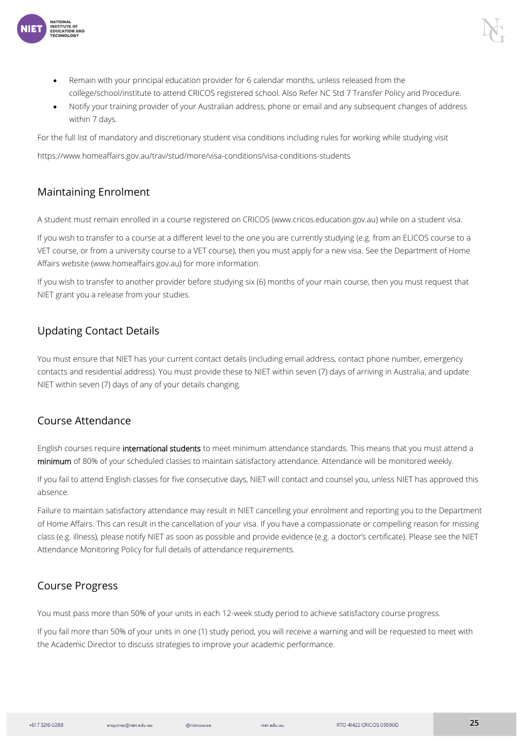

• Notify your training provider of your Australian address, phone or email and any subsequent changes of address within 7 days.

For the full list of mandatory and discretionary student visa conditions including rules for working while studying visit

https://www.homeaffairs.gov.au/trav/stud/more/visa-conditions/visa-conditions-students

#### <span id="page-24-0"></span>Maintaining Enrolment

STITUTE OF **DUCATION AND** 

A student must remain enrolled in a course registered on CRICOS (www.cricos.education.gov.au) while on a student visa.

If you wish to transfer to a course at a different level to the one you are currently studying (e.g. from an ELICOS course to a VET course, or from a university course to a VET course), then you must apply for a new visa. See the Department of Home Affairs website (www.homeaffairs.gov.au) for more information.

If you wish to transfer to another provider before studying six (6) months of your main course, then you must request that NIET grant you a release from your studies.

#### <span id="page-24-1"></span>Updating Contact Details

You must ensure that NIET has your current contact details (including email address, contact phone number, emergency contacts and residential address). You must provide these to NIET within seven (7) days of arriving in Australia, and update NIET within seven (7) days of any of your details changing.

#### <span id="page-24-2"></span>Course Attendance

English courses require international students to meet minimum attendance standards. This means that you must attend a minimum of 80% of your scheduled classes to maintain satisfactory attendance. Attendance will be monitored weekly.

If you fail to attend English classes for five consecutive days, NIET will contact and counsel you, unless NIET has approved this absence.

Failure to maintain satisfactory attendance may result in NIET cancelling your enrolment and reporting you to the Department of Home Affairs. This can result in the cancellation of your visa. If you have a compassionate or compelling reason for missing class (e.g. illness), please notify NIET as soon as possible and provide evidence (e.g. a doctor's certificate). Please see the NIET Attendance Monitoring Policy for full details of attendance requirements.

#### <span id="page-24-3"></span>Course Progress

You must pass more than 50% of your units in each 12-week study period to achieve satisfactory course progress.

If you fail more than 50% of your units in one (1) study period, you will receive a warning and will be requested to meet with the Academic Director to discuss strategies to improve your academic performance.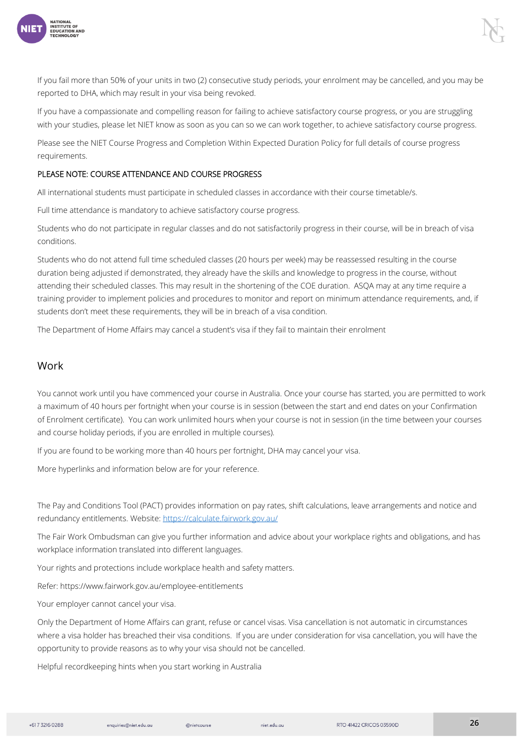

If you fail more than 50% of your units in two (2) consecutive study periods, your enrolment may be cancelled, and you may be reported to DHA, which may result in your visa being revoked.

If you have a compassionate and compelling reason for failing to achieve satisfactory course progress, or you are struggling with your studies, please let NIET know as soon as you can so we can work together, to achieve satisfactory course progress.

Please see the NIET Course Progress and Completion Within Expected Duration Policy for full details of course progress requirements.

#### PLEASE NOTE: COURSE ATTENDANCE AND COURSE PROGRESS

All international students must participate in scheduled classes in accordance with their course timetable/s.

Full time attendance is mandatory to achieve satisfactory course progress.

Students who do not participate in regular classes and do not satisfactorily progress in their course, will be in breach of visa conditions.

Students who do not attend full time scheduled classes (20 hours per week) may be reassessed resulting in the course duration being adjusted if demonstrated, they already have the skills and knowledge to progress in the course, without attending their scheduled classes. This may result in the shortening of the COE duration. ASQA may at any time require a training provider to implement policies and procedures to monitor and report on minimum attendance requirements, and, if students don't meet these requirements, they will be in breach of a visa condition.

The Department of Home Affairs may cancel a student's visa if they fail to maintain their enrolment

#### <span id="page-25-0"></span>Work

You cannot work until you have commenced your course in Australia. Once your course has started, you are permitted to work a maximum of 40 hours per fortnight when your course is in session (between the start and end dates on your Confirmation of Enrolment certificate). You can work unlimited hours when your course is not in session (in the time between your courses and course holiday periods, if you are enrolled in multiple courses).

If you are found to be working more than 40 hours per fortnight, DHA may cancel your visa.

More hyperlinks and information below are for your reference.

The Pay and Conditions Tool (PACT) provides information on pay rates, shift calculations, leave arrangements and notice and redundancy entitlements. Website: [https://calculate.fairwork.gov.au/](about:blank)

The Fair Work Ombudsman can give you further information and advice about your workplace rights and obligations, and has workplace information translated into different languages.

Your rights and protections include workplace health and safety matters.

Refer: https://www.fairwork.gov.au/employee-entitlements

Your employer cannot cancel your visa.

Only the Department of Home Affairs can grant, refuse or cancel visas. Visa cancellation is not automatic in circumstances where a visa holder has breached their visa conditions. If you are under consideration for visa cancellation, you will have the opportunity to provide reasons as to why your visa should not be cancelled.

Helpful recordkeeping hints when you start working in Australia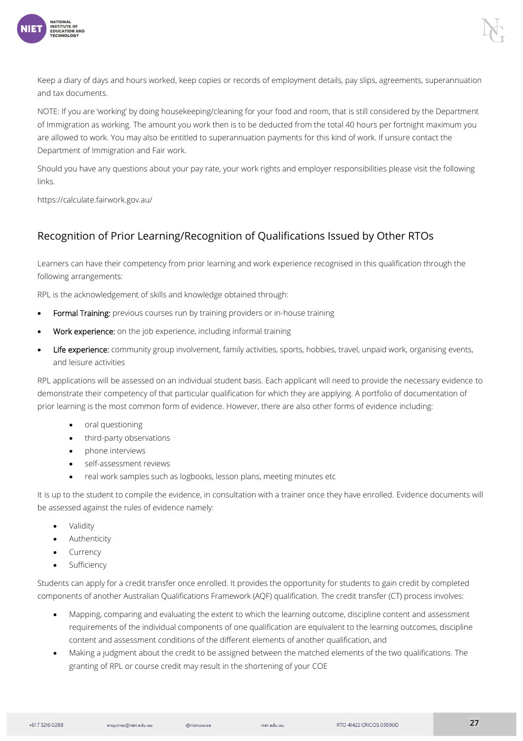

Keep a diary of days and hours worked, keep copies or records of employment details, pay slips, agreements, superannuation and tax documents.

NOTE: If you are 'working' by doing housekeeping/cleaning for your food and room, that is still considered by the Department of Immigration as working. The amount you work then is to be deducted from the total 40 hours per fortnight maximum you are allowed to work. You may also be entitled to superannuation payments for this kind of work. If unsure contact the Department of Immigration and Fair work.

Should you have any questions about your pay rate, your work rights and employer responsibilities please visit the following links.

https://calculate.fairwork.gov.au/

#### <span id="page-26-0"></span>Recognition of Prior Learning/Recognition of Qualifications Issued by Other RTOs

Learners can have their competency from prior learning and work experience recognised in this qualification through the following arrangements:

RPL is the acknowledgement of skills and knowledge obtained through:

- Formal Training: previous courses run by training providers or in-house training
- Work experience: on the job experience, including informal training
- Life experience: community group involvement, family activities, sports, hobbies, travel, unpaid work, organising events, and leisure activities

RPL applications will be assessed on an individual student basis. Each applicant will need to provide the necessary evidence to demonstrate their competency of that particular qualification for which they are applying. A portfolio of documentation of prior learning is the most common form of evidence. However, there are also other forms of evidence including:

- oral questioning
- third-party observations
- phone interviews
- self-assessment reviews
- real work samples such as logbooks, lesson plans, meeting minutes etc

It is up to the student to compile the evidence, in consultation with a trainer once they have enrolled. Evidence documents will be assessed against the rules of evidence namely:

- **Validity**
- **Authenticity**
- **Currency**
- **Sufficiency**

Students can apply for a credit transfer once enrolled. It provides the opportunity for students to gain credit by completed components of another Australian Qualifications Framework (AQF) qualification. The credit transfer (CT) process involves:

- Mapping, comparing and evaluating the extent to which the learning outcome, discipline content and assessment requirements of the individual components of one qualification are equivalent to the learning outcomes, discipline content and assessment conditions of the different elements of another qualification, and
- Making a judgment about the credit to be assigned between the matched elements of the two qualifications. The granting of RPL or course credit may result in the shortening of your COE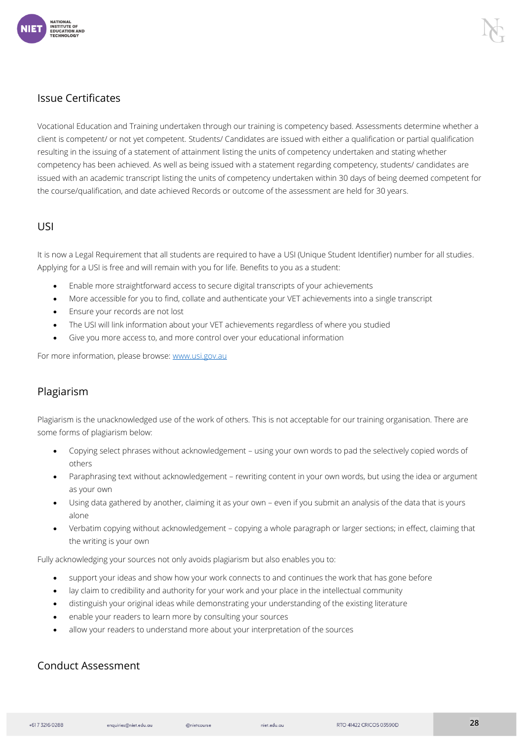

#### <span id="page-27-0"></span>Issue Certificates

Vocational Education and Training undertaken through our training is competency based. Assessments determine whether a client is competent/ or not yet competent. Students/ Candidates are issued with either a qualification or partial qualification resulting in the issuing of a statement of attainment listing the units of competency undertaken and stating whether competency has been achieved. As well as being issued with a statement regarding competency, students/ candidates are issued with an academic transcript listing the units of competency undertaken within 30 days of being deemed competent for the course/qualification, and date achieved Records or outcome of the assessment are held for 30 years.

#### <span id="page-27-1"></span>USI

It is now a Legal Requirement that all students are required to have a USI (Unique Student Identifier) number for all studies. Applying for a USI is free and will remain with you for life. Benefits to you as a student:

- Enable more straightforward access to secure digital transcripts of your achievements
- More accessible for you to find, collate and authenticate your VET achievements into a single transcript
- Ensure your records are not lost
- The USI will link information about your VET achievements regardless of where you studied
- Give you more access to, and more control over your educational information

For more information, please browse[: www.usi.gov.au](about:blank)

#### <span id="page-27-2"></span>Plagiarism

Plagiarism is the unacknowledged use of the work of others. This is not acceptable for our training organisation. There are some forms of plagiarism below:

- Copying select phrases without acknowledgement using your own words to pad the selectively copied words of others
- Paraphrasing text without acknowledgement rewriting content in your own words, but using the idea or argument as your own
- Using data gathered by another, claiming it as your own even if you submit an analysis of the data that is yours alone
- Verbatim copying without acknowledgement copying a whole paragraph or larger sections; in effect, claiming that the writing is your own

Fully acknowledging your sources not only avoids plagiarism but also enables you to:

- support your ideas and show how your work connects to and continues the work that has gone before
- lay claim to credibility and authority for your work and your place in the intellectual community
- distinguish your original ideas while demonstrating your understanding of the existing literature
- enable your readers to learn more by consulting your sources
- allow your readers to understand more about your interpretation of the sources

#### <span id="page-27-3"></span>Conduct Assessment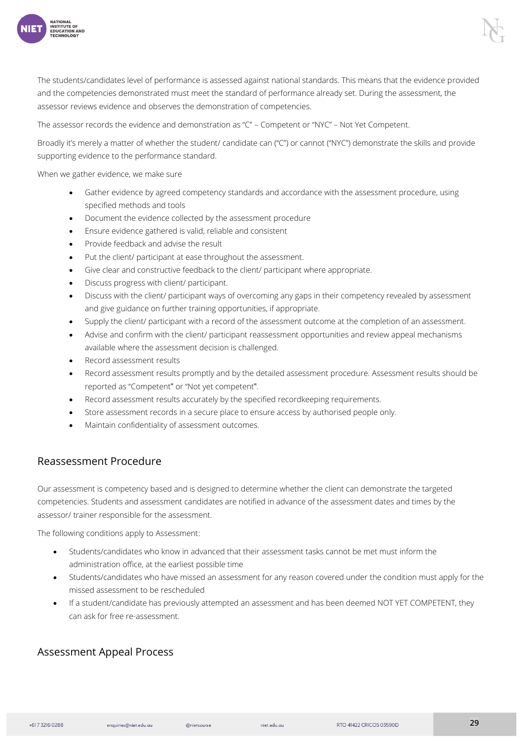

The students/candidates level of performance is assessed against national standards. This means that the evidence provided and the competencies demonstrated must meet the standard of performance already set. During the assessment, the assessor reviews evidence and observes the demonstration of competencies.

The assessor records the evidence and demonstration as "C" – Competent or "NYC" – Not Yet Competent.

Broadly it's merely a matter of whether the student/ candidate can ("C") or cannot ("NYC") demonstrate the skills and provide supporting evidence to the performance standard.

When we gather evidence, we make sure

- Gather evidence by agreed competency standards and accordance with the assessment procedure, using specified methods and tools
- Document the evidence collected by the assessment procedure
- Ensure evidence gathered is valid, reliable and consistent
- Provide feedback and advise the result
- Put the client/ participant at ease throughout the assessment.
- Give clear and constructive feedback to the client/ participant where appropriate.
- Discuss progress with client/ participant.
- Discuss with the client/ participant ways of overcoming any gaps in their competency revealed by assessment and give guidance on further training opportunities, if appropriate.
- Supply the client/ participant with a record of the assessment outcome at the completion of an assessment.
- Advise and confirm with the client/ participant reassessment opportunities and review appeal mechanisms available where the assessment decision is challenged.
- Record assessment results
- Record assessment results promptly and by the detailed assessment procedure. Assessment results should be reported as "Competent" or "Not yet competent".
- Record assessment results accurately by the specified recordkeeping requirements.
- Store assessment records in a secure place to ensure access by authorised people only.
- Maintain confidentiality of assessment outcomes.

#### <span id="page-28-0"></span>Reassessment Procedure

Our assessment is competency based and is designed to determine whether the client can demonstrate the targeted competencies. Students and assessment candidates are notified in advance of the assessment dates and times by the assessor/ trainer responsible for the assessment.

The following conditions apply to Assessment:

- Students/candidates who know in advanced that their assessment tasks cannot be met must inform the administration office, at the earliest possible time
- Students/candidates who have missed an assessment for any reason covered under the condition must apply for the missed assessment to be rescheduled
- If a student/candidate has previously attempted an assessment and has been deemed NOT YET COMPETENT, they can ask for free re-assessment.

#### <span id="page-28-1"></span>Assessment Appeal Process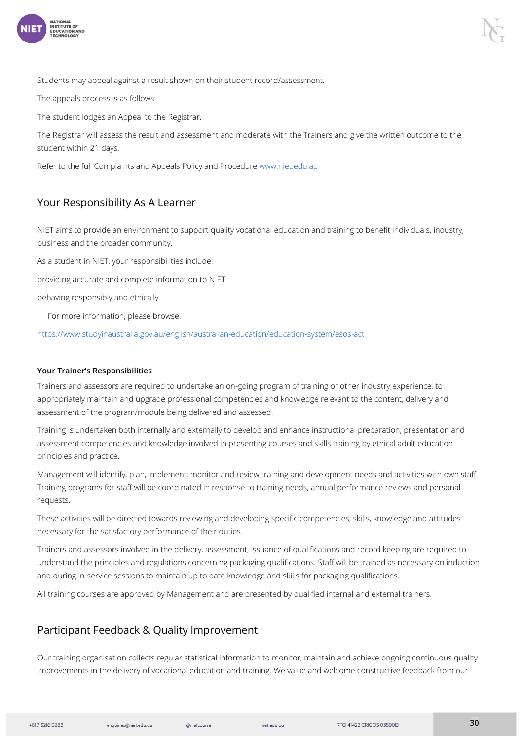

Students may appeal against a result shown on their student record/assessment.

The appeals process is as follows:

The student lodges an Appeal to the Registrar.

The Registrar will assess the result and assessment and moderate with the Trainers and give the written outcome to the student within 21 days.

Refer to the full Complaints and Appeals Policy and Procedure [www.niet.edu.au](about:blank)

#### <span id="page-29-0"></span>Your Responsibility As A Learner

NIET aims to provide an environment to support quality vocational education and training to benefit individuals, industry, business and the broader community.

As a student in NIET, your responsibilities include:

providing accurate and complete information to NIET

behaving responsibly and ethically

For more information, please browse:

[https://www.studyinaustralia.gov.au/english/australian-education/education-system/esos-act](about:blank)

#### <span id="page-29-1"></span>Your Trainer's Responsibilities

Trainers and assessors are required to undertake an on-going program of training or other industry experience, to appropriately maintain and upgrade professional competencies and knowledge relevant to the content, delivery and assessment of the program/module being delivered and assessed.

Training is undertaken both internally and externally to develop and enhance instructional preparation, presentation and assessment competencies and knowledge involved in presenting courses and skills training by ethical adult education principles and practice.

Management will identify, plan, implement, monitor and review training and development needs and activities with own staff. Training programs for staff will be coordinated in response to training needs, annual performance reviews and personal requests.

These activities will be directed towards reviewing and developing specific competencies, skills, knowledge and attitudes necessary for the satisfactory performance of their duties.

Trainers and assessors involved in the delivery, assessment, issuance of qualifications and record keeping are required to understand the principles and regulations concerning packaging qualifications. Staff will be trained as necessary on induction and during in-service sessions to maintain up to date knowledge and skills for packaging qualifications.

All training courses are approved by Management and are presented by qualified internal and external trainers.

#### <span id="page-29-2"></span>Participant Feedback & Quality Improvement

Our training organisation collects regular statistical information to monitor, maintain and achieve ongoing continuous quality improvements in the delivery of vocational education and training. We value and welcome constructive feedback from our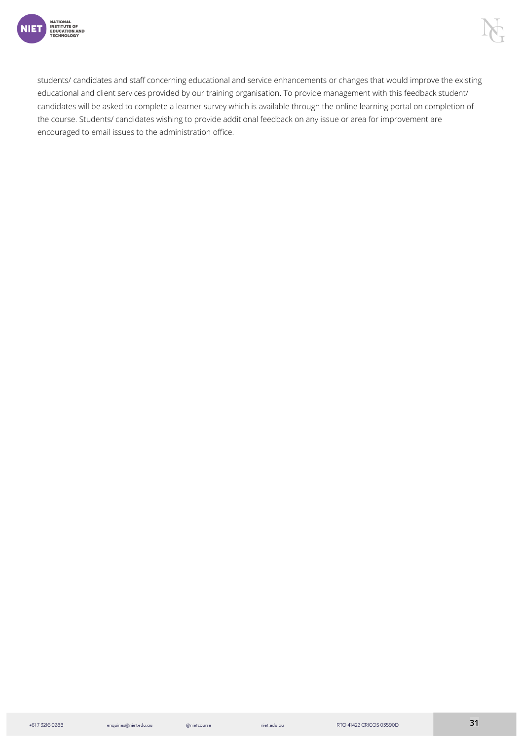

students/ candidates and staff concerning educational and service enhancements or changes that would improve the existing educational and client services provided by our training organisation. To provide management with this feedback student/ candidates will be asked to complete a learner survey which is available through the online learning portal on completion of the course. Students/ candidates wishing to provide additional feedback on any issue or area for improvement are encouraged to email issues to the administration office.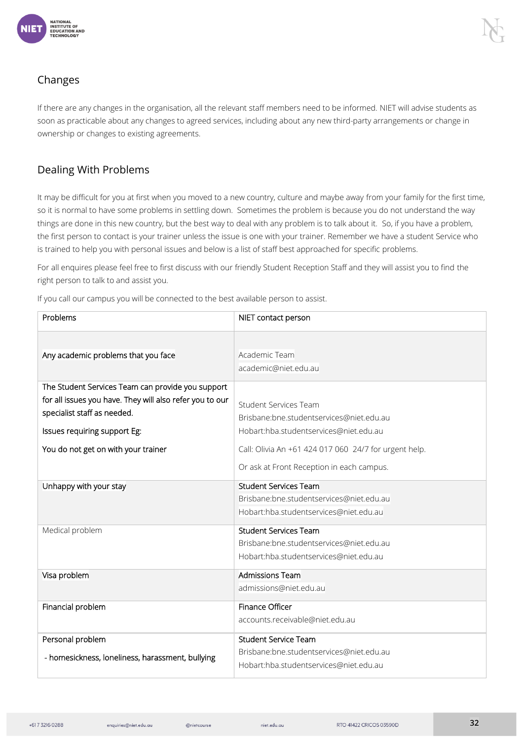

#### <span id="page-31-0"></span>Changes

If there are any changes in the organisation, all the relevant staff members need to be informed. NIET will advise students as soon as practicable about any changes to agreed services, including about any new third-party arrangements or change in ownership or changes to existing agreements.

#### <span id="page-31-1"></span>Dealing With Problems

It may be difficult for you at first when you moved to a new country, culture and maybe away from your family for the first time, so it is normal to have some problems in settling down. Sometimes the problem is because you do not understand the way things are done in this new country, but the best way to deal with any problem is to talk about it. So, if you have a problem, the first person to contact is your trainer unless the issue is one with your trainer. Remember we have a student Service who is trained to help you with personal issues and below is a list of staff best approached for specific problems.

For all enquires please feel free to first discuss with our friendly Student Reception Staff and they will assist you to find the right person to talk to and assist you.

If you call our campus you will be connected to the best available person to assist.

| Problems                                                 | NIET contact person                                   |  |
|----------------------------------------------------------|-------------------------------------------------------|--|
|                                                          |                                                       |  |
| Any academic problems that you face                      | Academic Team                                         |  |
|                                                          | academic@niet.edu.au                                  |  |
| The Student Services Team can provide you support        |                                                       |  |
| for all issues you have. They will also refer you to our | <b>Student Services Team</b>                          |  |
| specialist staff as needed.                              | Brisbane:bne.studentservices@niet.edu.au              |  |
| Issues requiring support Eg:                             | Hobart:hba.studentservices@niet.edu.au                |  |
| You do not get on with your trainer                      | Call: Olivia An +61 424 017 060 24/7 for urgent help. |  |
|                                                          | Or ask at Front Reception in each campus.             |  |
| Unhappy with your stay                                   | <b>Student Services Team</b>                          |  |
|                                                          | Brisbane:bne.studentservices@niet.edu.au              |  |
|                                                          | Hobart:hba.studentservices@niet.edu.au                |  |
| Medical problem                                          | <b>Student Services Team</b>                          |  |
|                                                          | Brisbane:bne.studentservices@niet.edu.au              |  |
|                                                          | Hobart:hba.studentservices@niet.edu.au                |  |
| Visa problem                                             | <b>Admissions Team</b>                                |  |
|                                                          | admissions@niet.edu.au                                |  |
| Financial problem                                        | Finance Officer                                       |  |
|                                                          | accounts.receivable@niet.edu.au                       |  |
| Personal problem                                         | <b>Student Service Team</b>                           |  |
| - homesickness, loneliness, harassment, bullying         | Brisbane:bne.studentservices@niet.edu.au              |  |
|                                                          | Hobart:hba.studentservices@niet.edu.au                |  |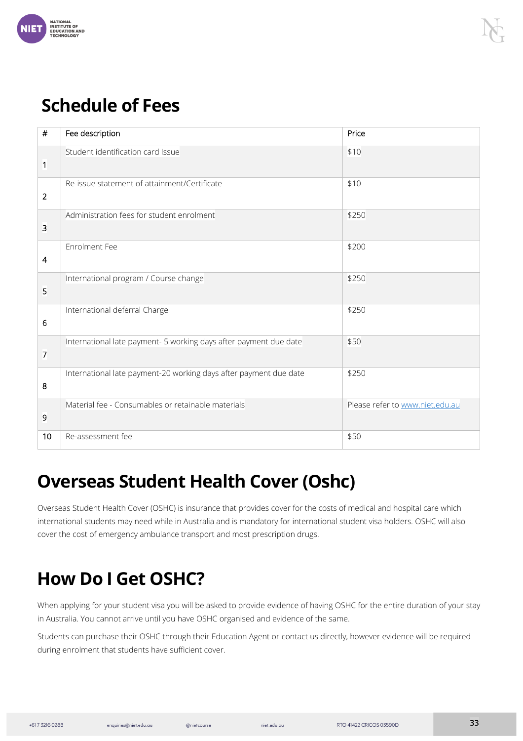

# **Schedule of Fees**

| $\#$           | Fee description                                                   | Price                           |
|----------------|-------------------------------------------------------------------|---------------------------------|
| 1              | Student identification card Issue                                 | \$10                            |
| $\overline{2}$ | Re-issue statement of attainment/Certificate                      | \$10                            |
| 3              | Administration fees for student enrolment                         | \$250                           |
| $\overline{4}$ | <b>Enrolment Fee</b>                                              | \$200                           |
| 5              | International program / Course change                             | \$250                           |
| 6              | International deferral Charge                                     | \$250                           |
| $\overline{7}$ | International late payment- 5 working days after payment due date | \$50                            |
| 8              | International late payment-20 working days after payment due date | \$250                           |
| 9              | Material fee - Consumables or retainable materials                | Please refer to www.niet.edu.au |
| 10             | Re-assessment fee                                                 | \$50                            |

# <span id="page-32-0"></span>**Overseas Student Health Cover (Oshc)**

Overseas Student Health Cover (OSHC) is insurance that provides cover for the costs of medical and hospital care which international students may need while in Australia and is mandatory for international student visa holders. OSHC will also cover the cost of emergency ambulance transport and most prescription drugs.

# <span id="page-32-1"></span>**How Do I Get OSHC?**

When applying for your student visa you will be asked to provide evidence of having OSHC for the entire duration of your stay in Australia. You cannot arrive until you have OSHC organised and evidence of the same.

Students can purchase their OSHC through their Education Agent or contact us directly, however evidence will be required during enrolment that students have sufficient cover.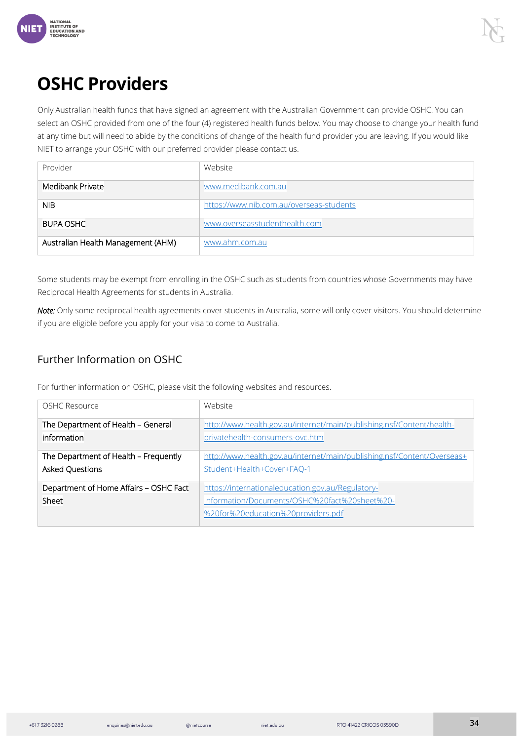

# <span id="page-33-0"></span>**OSHC Providers**

Only Australian health funds that have signed an agreement with the Australian Government can provide OSHC. You can select an OSHC provided from one of the four (4) registered health funds below. You may choose to change your health fund at any time but will need to abide by the conditions of change of the health fund provider you are leaving. If you would like NIET to arrange your OSHC with our preferred provider please contact us.

| Provider                           | Website                                  |
|------------------------------------|------------------------------------------|
| Medibank Private                   | www.medibank.com.au                      |
| <b>NIB</b>                         | https://www.nib.com.au/overseas-students |
| <b>BUPA OSHC</b>                   | www.overseasstudenthealth.com            |
| Australian Health Management (AHM) | www.ahm.com.au                           |

Some students may be exempt from enrolling in the OSHC such as students from countries whose Governments may have Reciprocal Health Agreements for students in Australia.

*Note:* Only some reciprocal health agreements cover students in Australia, some will only cover visitors. You should determine if you are eligible before you apply for your visa to come to Australia.

#### <span id="page-33-1"></span>Further Information on OSHC

For further information on OSHC, please visit the following websites and resources.

| OSHC Resource                                   | Website                                                                                                                                  |
|-------------------------------------------------|------------------------------------------------------------------------------------------------------------------------------------------|
| The Department of Health - General              | http://www.health.gov.au/internet/main/publishing.nsf/Content/health-                                                                    |
| information                                     | privatehealth-consumers-ovc.htm                                                                                                          |
| The Department of Health - Frequently           | http://www.health.gov.au/internet/main/publishing.nsf/Content/Overseas+                                                                  |
| <b>Asked Questions</b>                          | Student+Health+Cover+FAO-1                                                                                                               |
| Department of Home Affairs - OSHC Fact<br>Sheet | https://internationaleducation.gov.au/Regulatory-<br>Information/Documents/OSHC%20fact%20sheet%20-<br>%20for%20education%20providers.pdf |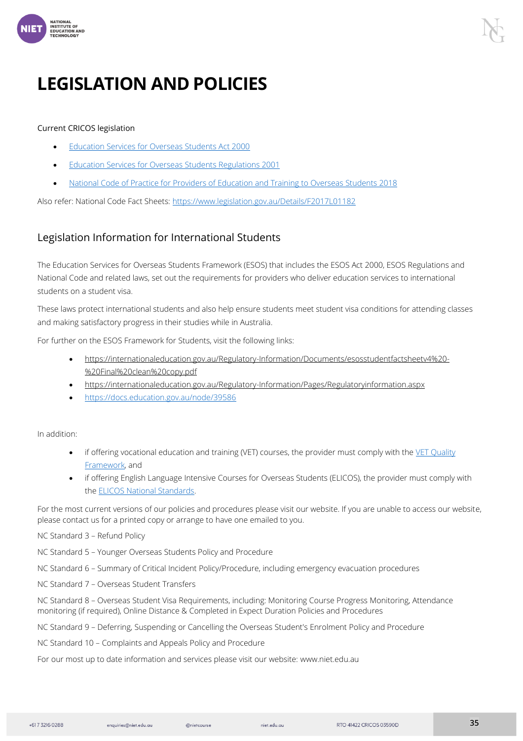

# <span id="page-34-0"></span>**LEGISLATION AND POLICIES**

#### Current CRICOS legislation

- [Education Services for Overseas Students Act 2000](about:blank)
- [Education Services for Overseas Students Regulations 2001](about:blank)
- [National Code of Practice for Providers of Education and Training to Overseas Students 2018](about:blank)

Also refer: National Code Fact Sheets: [https://www.legislation.gov.au/Details/F2017L01182](about:blank)

#### <span id="page-34-1"></span>Legislation Information for International Students

The Education Services for Overseas Students Framework (ESOS) that includes the ESOS Act 2000, ESOS Regulations and National Code and related laws, set out the requirements for providers who deliver education services to international students on a student visa.

These laws protect international students and also help ensure students meet student visa conditions for attending classes and making satisfactory progress in their studies while in Australia.

For further on the ESOS Framework for Students, visit the following links:

- https://internationaleducation.gov.au/Regulatory-Information/Documents/esosstudentfactsheetv4%20- %20Final%20clean%20copy.pdf
- https://internationaleducation.gov.au/Regulatory-Information/Pages/Regulatoryinformation.aspx
- [https://docs.education.gov.au/node/39586](about:blank)

In addition:

- if offering vocational education and training (VET) courses, the provider must comply with the VET Quality [Framework,](about:blank) and
- if offering English Language Intensive Courses for Overseas Students (ELICOS), the provider must comply with the [ELICOS National Standards.](about:blank)

For the most current versions of our policies and procedures please visit our website. If you are unable to access our website, please contact us for a printed copy or arrange to have one emailed to you.

#### NC Standard 3 – Refund Policy

NC Standard 5 – Younger Overseas Students Policy and Procedure

NC Standard 6 – Summary of Critical Incident Policy/Procedure, including emergency evacuation procedures

NC Standard 7 – Overseas Student Transfers

NC Standard 8 – Overseas Student Visa Requirements, including: Monitoring Course Progress Monitoring, Attendance monitoring (if required), Online Distance & Completed in Expect Duration Policies and Procedures

NC Standard 9 – Deferring, Suspending or Cancelling the Overseas Student's Enrolment Policy and Procedure

NC Standard 10 – Complaints and Appeals Policy and Procedure

For our most up to date information and services please visit our website: www.niet.edu.au